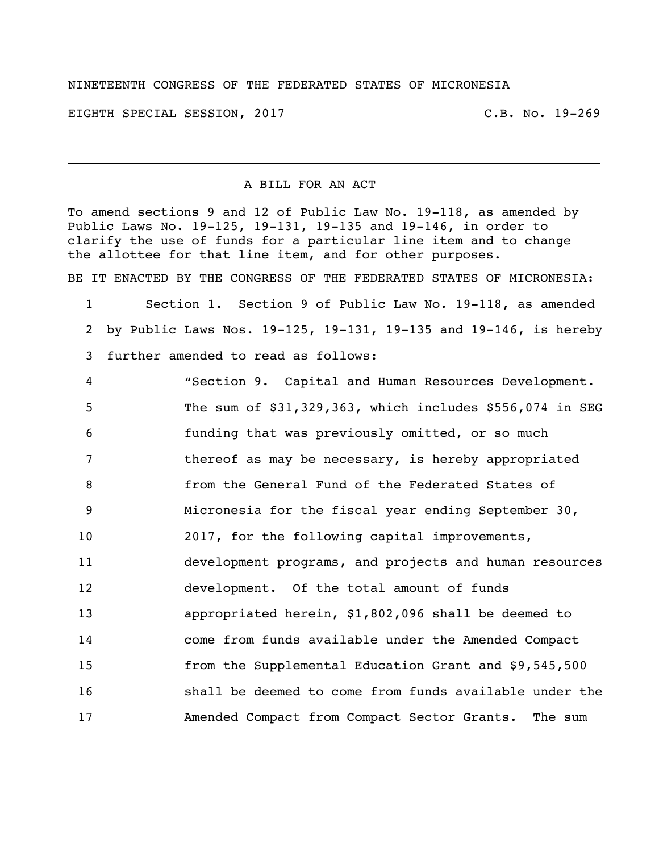## NINETEENTH CONGRESS OF THE FEDERATED STATES OF MICRONESIA

EIGHTH SPECIAL SESSION, 2017 C.B. No. 19-269

## A BILL FOR AN ACT

To amend sections 9 and 12 of Public Law No. 19-118, as amended by Public Laws No. 19-125, 19-131, 19-135 and 19-146, in order to clarify the use of funds for a particular line item and to change the allottee for that line item, and for other purposes.

BE IT ENACTED BY THE CONGRESS OF THE FEDERATED STATES OF MICRONESIA:

 Section 1. Section 9 of Public Law No. 19-118, as amended by Public Laws Nos. 19-125, 19-131, 19-135 and 19-146, is hereby further amended to read as follows:

 "Section 9. Capital and Human Resources Development. The sum of \$31,329,363**,** which includes \$556,074 in SEG funding that was previously omitted, or so much thereof as may be necessary, is hereby appropriated from the General Fund of the Federated States of Micronesia for the fiscal year ending September 30, 2017, for the following capital improvements, development programs, and projects and human resources development. Of the total amount of funds appropriated herein, \$1,802,096 shall be deemed to come from funds available under the Amended Compact from the Supplemental Education Grant and \$9,545,500 shall be deemed to come from funds available under the Amended Compact from Compact Sector Grants. The sum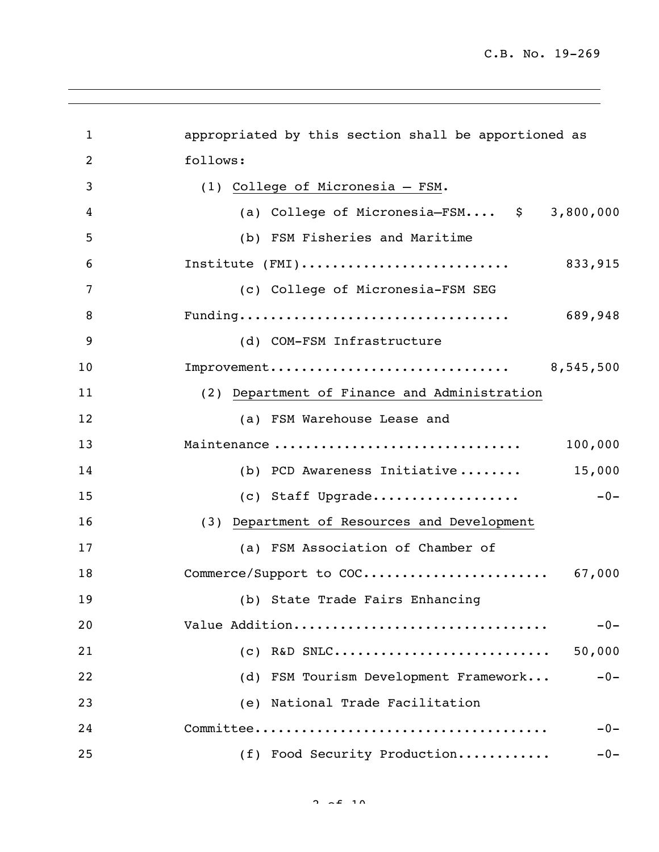| 1              | appropriated by this section shall be apportioned as  |
|----------------|-------------------------------------------------------|
| $\overline{c}$ | follows:                                              |
| 3              | (1) College of Micronesia - FSM.                      |
| 4              | (a) College of Micronesia-FSM $\frac{1}{2}$ 3,800,000 |
| 5              | (b) FSM Fisheries and Maritime                        |
| 6              | Institute (FMI)<br>833,915                            |
| 7              | (c) College of Micronesia-FSM SEG                     |
| 8              | 689,948                                               |
| 9              | (d) COM-FSM Infrastructure                            |
| 10             | Improvement<br>8,545,500                              |
| 11             | (2) Department of Finance and Administration          |
| 12             | (a) FSM Warehouse Lease and                           |
| 13             | Maintenance<br>100,000                                |
| 14             | 15,000<br>(b) PCD Awareness Initiative                |
| 15             | (c) Staff Upgrade<br>$-0-$                            |
| 16             | (3) Department of Resources and Development           |
| 17             | (a) FSM Association of Chamber of                     |
| 18             | Commerce/Support to COC<br>67,000                     |
| 19             | (b) State Trade Fairs Enhancing                       |
| 20             | Value Addition<br>$-0-$                               |
| 21             | R&D SNLC<br>50,000<br>(C)                             |
| 22             | (d) FSM Tourism Development Framework<br>$-0-$        |
| 23             | (e) National Trade Facilitation                       |
| 24             | $-0-$                                                 |
| 25             | (f) Food Security Production<br>$-0-$                 |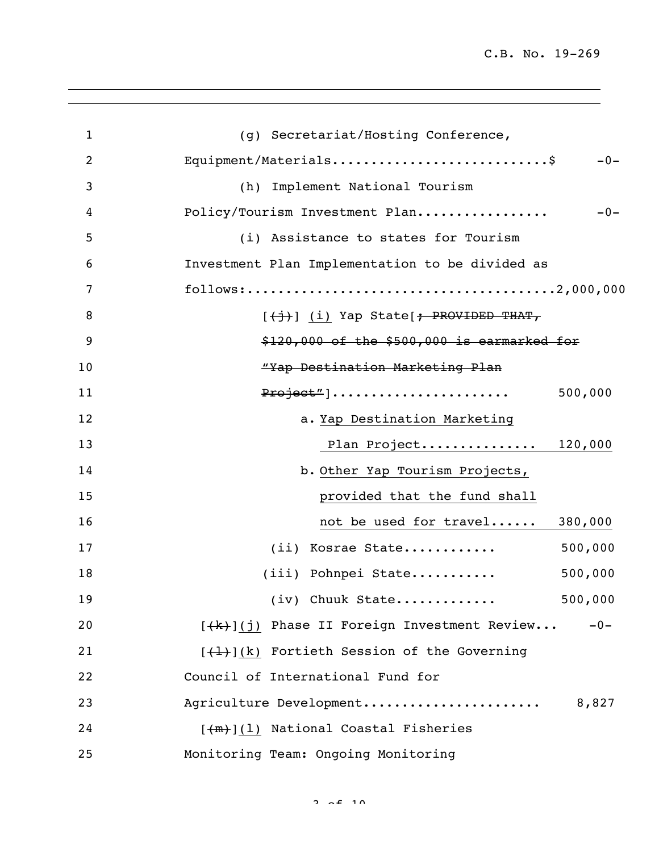C.B. No. 19-269

| $\mathbf{1}$   | (g) Secretariat/Hosting Conference,                     |
|----------------|---------------------------------------------------------|
| $\overline{2}$ | Equipment/Materials\$<br>$-0-$                          |
| 3              | (h) Implement National Tourism                          |
| 4              | $-0-$<br>Policy/Tourism Investment Plan                 |
| 5              | (i) Assistance to states for Tourism                    |
| 6              | Investment Plan Implementation to be divided as         |
| 7              |                                                         |
| 8              | [(j)] (i) Yap State[; PROVIDED THAT,                    |
| 9              | $$120,000$ of the $$500,000$ is earmarked for           |
| 10             | "Yap Destination Marketing Plan                         |
| 11             | Project"]<br>500,000                                    |
| 12             | a. Yap Destination Marketing                            |
| 13             | Plan Project 120,000                                    |
| 14             | b. Other Yap Tourism Projects,                          |
| 15             | provided that the fund shall                            |
| 16             | 380,000<br>not be used for travel                       |
| 17             | 500,000<br>(ii) Kosrae State                            |
| 18             | 500,000<br>(iii) Pohnpei State                          |
| 19             | 500,000<br>$(iv)$ Chuuk State                           |
| 20             | $[+k)$ ](j) Phase II Foreign Investment Review<br>$-0-$ |
| 21             | $[\frac{1}{1}]$ (k) Fortieth Session of the Governing   |
| 22             | Council of International Fund for                       |
| 23             | Agriculture Development<br>8,827                        |
| 24             | [(m)](1) National Coastal Fisheries                     |
| 25             | Monitoring Team: Ongoing Monitoring                     |

 $2.69 \times 10^{-10}$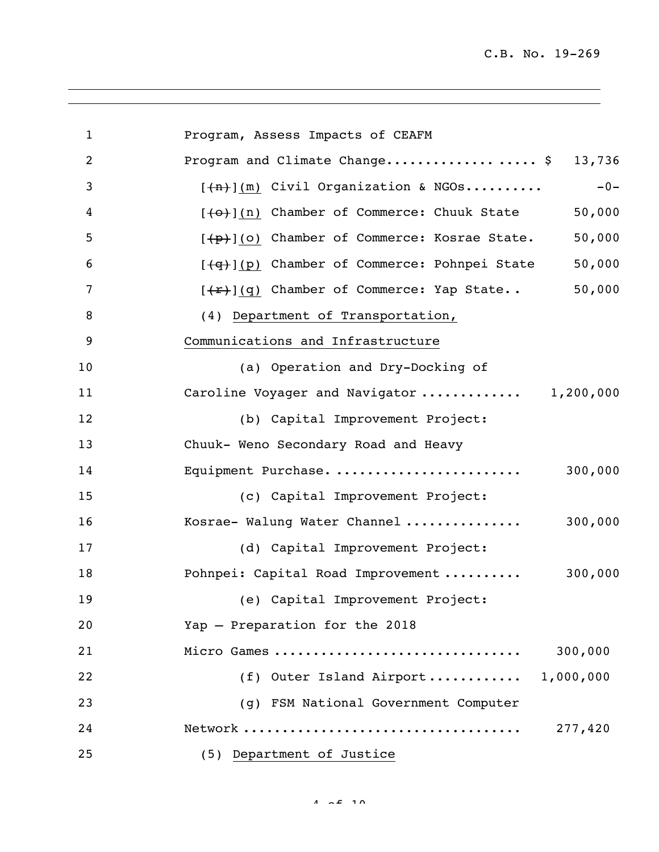C.B. No. 19-269

| $\mathbf{1}$   | Program, Assess Impacts of CEAFM                               |
|----------------|----------------------------------------------------------------|
| $\overline{2}$ | Program and Climate Change\$<br>13,736                         |
| 3              | $-0-$<br>$[+n]$ (m) Civil Organization & NGOs                  |
| 4              | 50,000<br>[(0)](n) Chamber of Commerce: Chuuk State            |
| 5              | 50,000<br>[(p)](o) Chamber of Commerce: Kosrae State.          |
| 6              | 50,000<br>[(g)](p) Chamber of Commerce: Pohnpei State          |
| 7              | 50,000<br>[ <del>(r)</del> ](q) Chamber of Commerce: Yap State |
| 8              | (4) Department of Transportation,                              |
| 9              | Communications and Infrastructure                              |
| 10             | (a) Operation and Dry-Docking of                               |
| 11             | Caroline Voyager and Navigator  1,200,000                      |
| 12             | (b) Capital Improvement Project:                               |
| 13             | Chuuk- Weno Secondary Road and Heavy                           |
| 14             | Equipment Purchase.<br>300,000                                 |
| 15             | (c) Capital Improvement Project:                               |
| 16             | 300,000<br>Kosrae- Walung Water Channel                        |
| 17             | (d) Capital Improvement Project:                               |
| 18             | 300,000<br>Pohnpei: Capital Road Improvement                   |
| 19             | (e) Capital Improvement Project:                               |
| 20             | Yap - Preparation for the 2018                                 |
| 21             | Micro Games<br>300,000                                         |
| 22             | (f) Outer Island Airport 1,000,000                             |
| 23             | (q) FSM National Government Computer                           |
| 24             | 277,420                                                        |
| 25             | (5) Department of Justice                                      |

 $4 \times 2 \times 10$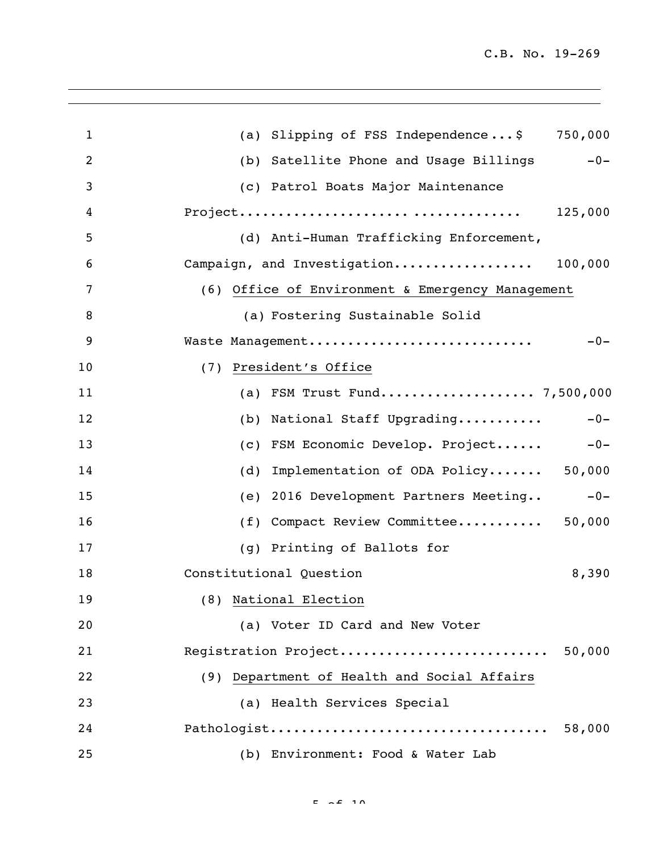| $\mathbf{1}$   | (a) Slipping of FSS Independence\$ 750,000        |
|----------------|---------------------------------------------------|
| $\overline{2}$ | (b) Satellite Phone and Usage Billings<br>$-0-$   |
| 3              | (c) Patrol Boats Major Maintenance                |
| 4              | 125,000                                           |
| 5              | (d) Anti-Human Trafficking Enforcement,           |
| 6              | Campaign, and Investigation 100,000               |
| 7              | (6) Office of Environment & Emergency Management  |
| 8              | (a) Fostering Sustainable Solid                   |
| 9              | Waste Management<br>$-0-$                         |
| 10             | President's Office<br>(7)                         |
| 11             | (a) FSM Trust Fund 7,500,000                      |
| 12             | National Staff Upgrading<br>$-0-$<br>(b)          |
| 13             | (c) FSM Economic Develop. Project<br>$-0-$        |
| 14             | Implementation of ODA Policy 50,000<br>(d)        |
| 15             | 2016 Development Partners Meeting<br>$-0-$<br>(e) |
| 16             | Compact Review Committee 50,000<br>(f)            |
| 17             | Printing of Ballots for<br>(q)                    |
| 18             | 8,390<br>Constitutional Question                  |
| 19             | (8) National Election                             |
| 20             | (a) Voter ID Card and New Voter                   |
| 21             | Registration Project 50,000                       |
| 22             | (9) Department of Health and Social Affairs       |
| 23             | (a) Health Services Special                       |
| 24             | 58,000                                            |
| 25             | (b) Environment: Food & Water Lab                 |

 $E = \alpha E$  10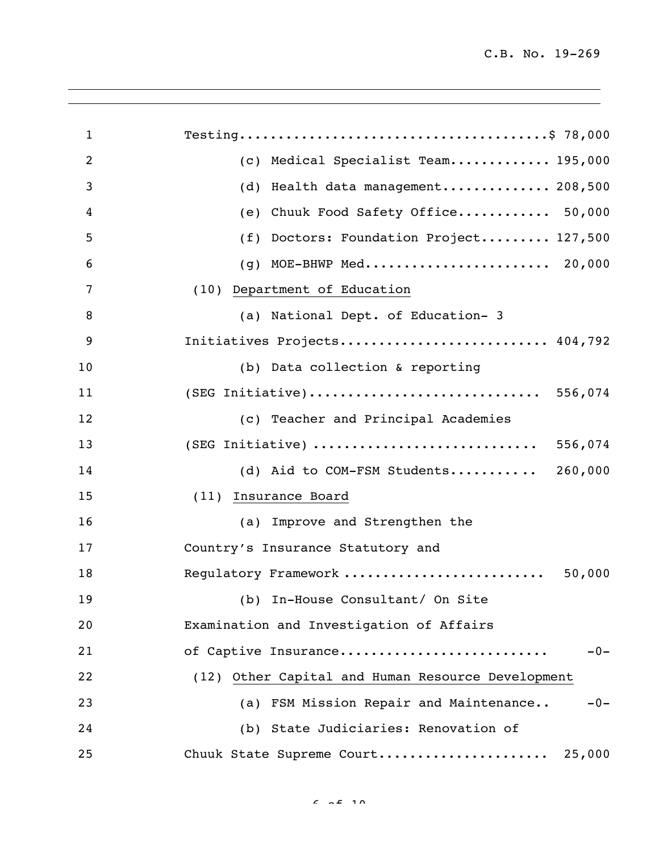| $\mathbf{1}$ |                                                   |
|--------------|---------------------------------------------------|
| 2            | Medical Specialist Team 195,000<br>(C)            |
| 3            | Health data management 208,500<br>(d)             |
| 4            | Chuuk Food Safety Office 50,000<br>(e)            |
| 5            | Doctors: Foundation Project 127,500<br>(f)        |
| 6            | (g) MOE-BHWP Med 20,000                           |
| 7            | (10) Department of Education                      |
| 8            | (a) National Dept. of Education- 3                |
| 9            | Initiatives Projects 404,792                      |
| 10           | (b) Data collection & reporting                   |
| 11           | (SEG Initiative) 556,074                          |
| 12           | (c) Teacher and Principal Academies               |
| 13           | (SEG Initiative)<br>556,074                       |
| 14           | 260,000<br>(d) Aid to COM-FSM Students            |
| 15           | (11) Insurance Board                              |
| 16           | (a) Improve and Strengthen the                    |
| 17           | Country's Insurance Statutory and                 |
| 18           | Regulatory Framework<br>50,000                    |
| 19           | (b) In-House Consultant/ On Site                  |
| 20           | Examination and Investigation of Affairs          |
| 21           | of Captive Insurance<br>$-0-$                     |
| 22           | (12) Other Capital and Human Resource Development |
| 23           | (a) FSM Mission Repair and Maintenance<br>$-0-$   |
| 24           | (b) State Judiciaries: Renovation of              |
| 25           | Chuuk State Supreme Court<br>25,000               |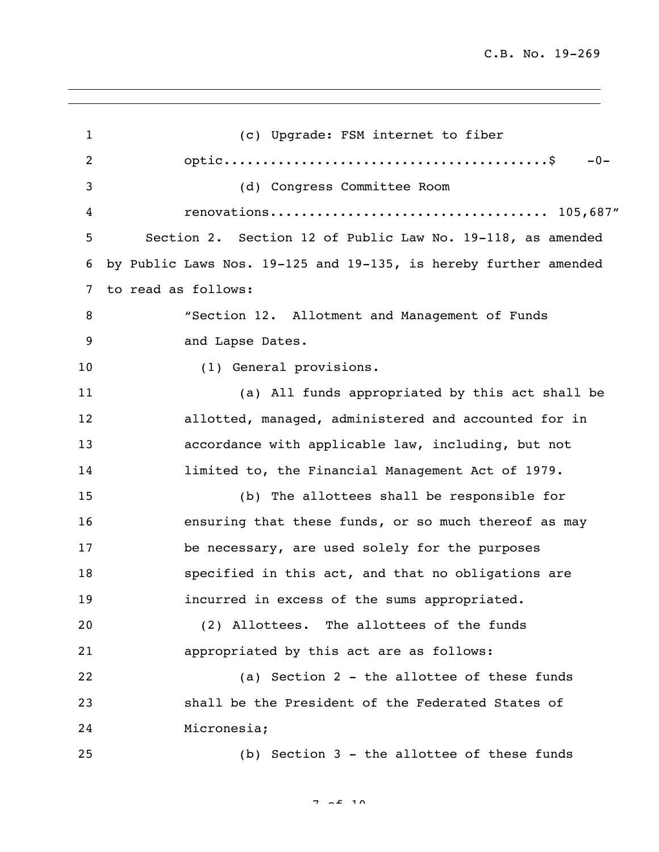(c) Upgrade: FSM internet to fiber optic..........................................\$ -0- (d) Congress Committee Room renovations.................................... 105,687" Section 2. Section 12 of Public Law No. 19-118, as amended by Public Laws Nos. 19-125 and 19-135, is hereby further amended to read as follows: "Section 12. Allotment and Management of Funds 9 and Lapse Dates. 10 (1) General provisions. (a) All funds appropriated by this act shall be allotted, managed, administered and accounted for in accordance with applicable law, including, but not limited to, the Financial Management Act of 1979. (b) The allottees shall be responsible for ensuring that these funds, or so much thereof as may be necessary, are used solely for the purposes specified in this act, and that no obligations are incurred in excess of the sums appropriated. (2) Allottees. The allottees of the funds appropriated by this act are as follows: (a) Section 2 - the allottee of these funds shall be the President of the Federated States of Micronesia; (b) Section 3 - the allottee of these funds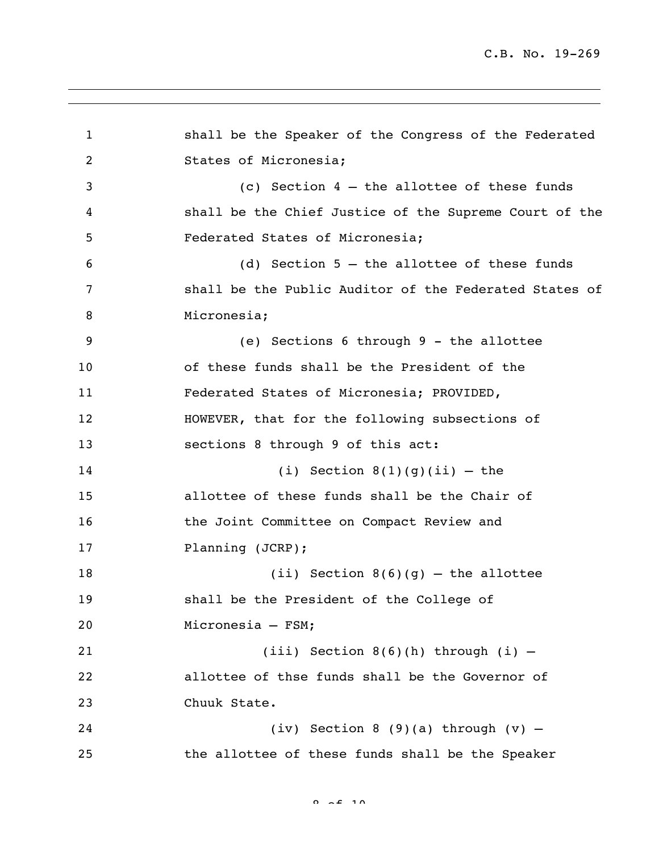```
1 shall be the Speaker of the Congress of the Federated 
2 States of Micronesia;
3 (c) Section 4 – the allottee of these funds 
4 shall be the Chief Justice of the Supreme Court of the 
5 Federated States of Micronesia;
6 (d) Section 5 – the allottee of these funds 
7 shall be the Public Auditor of the Federated States of 
8 Micronesia:
9 (e) Sections 6 through 9 - the allottee 
10 of these funds shall be the President of the 
11 Federated States of Micronesia; PROVIDED, 
12 HOWEVER, that for the following subsections of 
13 sections 8 through 9 of this act:
14 (i) Section 8(1)(g)(ii) – the
15 allottee of these funds shall be the Chair of 
16 the Joint Committee on Compact Review and
17 Planning (JCRP);
18 (ii) Section 8(6)(g) – the allottee
19 shall be the President of the College of 
20 Micronesia – FSM;
21 (iii) Section 8(6)(h) through (i) –
22 allottee of thse funds shall be the Governor of 
23 Chuuk State.
24 (iv) Section 8 (9)(a) through (v) –
25 the allottee of these funds shall be the Speaker
```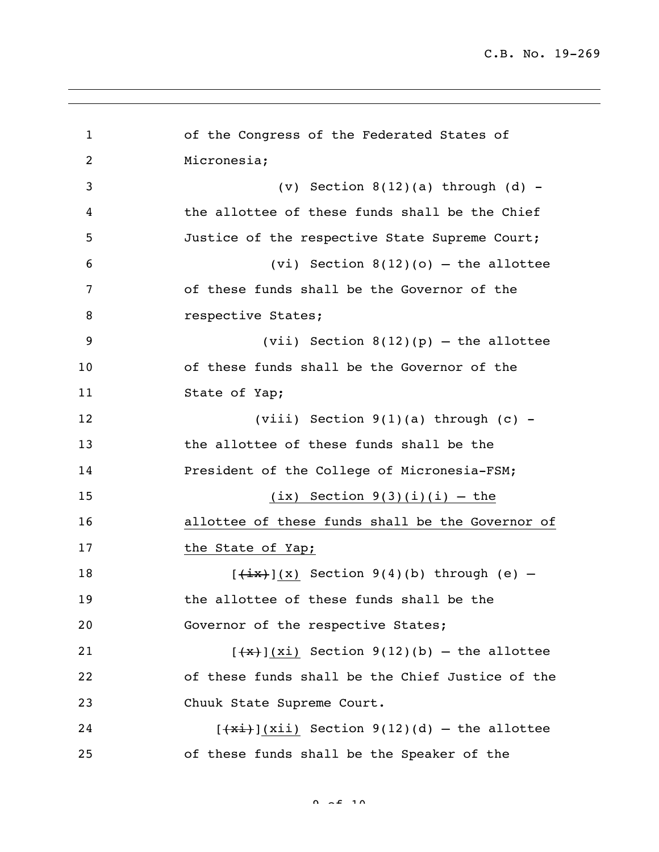of the Congress of the Federated States of Micronesia; (v) Section 8(12)(a) through (d) - the allottee of these funds shall be the Chief Justice of the respective State Supreme Court; (vi) Section 8(12)(o) – the allottee of these funds shall be the Governor of the **8** respective States; (vii) Section 8(12)(p) – the allottee of these funds shall be the Governor of the 11 State of Yap; (viii) Section 9(1)(a) through (c) - the allottee of these funds shall be the President of the College of Micronesia-FSM; 15 (ix) Section  $9(3)(i)(i) -$  the allottee of these funds shall be the Governor of 17 the State of Yap;  $[\frac{ix}{x}](x)$  Section 9(4)(b) through (e) – the allottee of these funds shall be the 20 Governor of the respective States;  $[\frac{4x}{x}]$ (xi) Section 9(12)(b) – the allottee of these funds shall be the Chief Justice of the Chuuk State Supreme Court.  $[\frac{4x_i}{3}]$ (xii) Section 9(12)(d) – the allottee of these funds shall be the Speaker of the

 $0.2510$